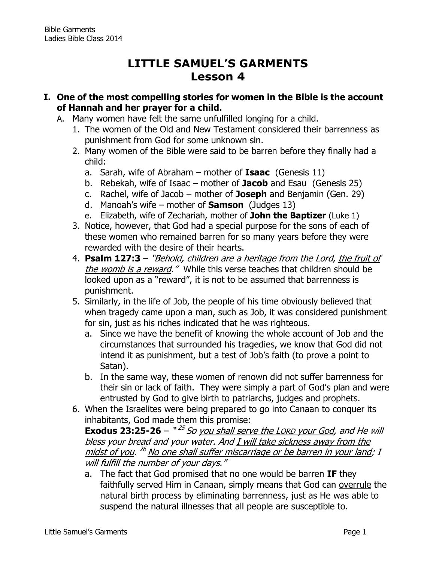# **LITTLE SAMUEL'S GARMENTS Lesson 4**

- **I. One of the most compelling stories for women in the Bible is the account of Hannah and her prayer for a child.**
	- A. Many women have felt the same unfulfilled longing for a child.
		- 1. The women of the Old and New Testament considered their barrenness as punishment from God for some unknown sin.
		- 2. Many women of the Bible were said to be barren before they finally had a child:
			- a. Sarah, wife of Abraham mother of **Isaac** (Genesis 11)
			- b. Rebekah, wife of Isaac mother of **Jacob** and Esau (Genesis 25)
			- c. Rachel, wife of Jacob mother of **Joseph** and Benjamin (Gen. 29)
			- d. Manoah's wife mother of **Samson** (Judges 13)
			- e. Elizabeth, wife of Zechariah, mother of **John the Baptizer** (Luke 1)
		- 3. Notice, however, that God had a special purpose for the sons of each of these women who remained barren for so many years before they were rewarded with the desire of their hearts.
		- 4. **[Psalm 127:3](http://www.biblegateway.com/passage/?search=Psalm+127:3&version=NKJV)** "Behold, children are a heritage from the Lord, the fruit of the womb is a reward." While this verse teaches that children should be looked upon as a "reward", it is not to be assumed that barrenness is punishment.
		- 5. Similarly, in the life of Job, the people of his time obviously believed that when tragedy came upon a man, such as Job, it was considered punishment for sin, just as his riches indicated that he was righteous.
			- a. Since we have the benefit of knowing the whole account of Job and the circumstances that surrounded his tragedies, we know that God did not intend it as punishment, but a test of Job's faith (to prove a point to Satan).
			- b. In the same way, these women of renown did not suffer barrenness for their sin or lack of faith. They were simply a part of God's plan and were entrusted by God to give birth to patriarchs, judges and prophets.
		- 6. When the Israelites were being prepared to go into Canaan to conquer its inhabitants, God made them this promise:

**Exodus 23:25-26** – "<sup>25</sup> So you shall serve the LORD your God, and He will bless your bread and your water. And I will take sickness away from the <u>midst of you</u>. <sup>26</sup> No one shall suffer miscarriage or be barren in your land; I will fulfill the number of your days."

a. The fact that God promised that no one would be barren **IF** they faithfully served Him in Canaan, simply means that God can overrule the natural birth process by eliminating barrenness, just as He was able to suspend the natural illnesses that all people are susceptible to.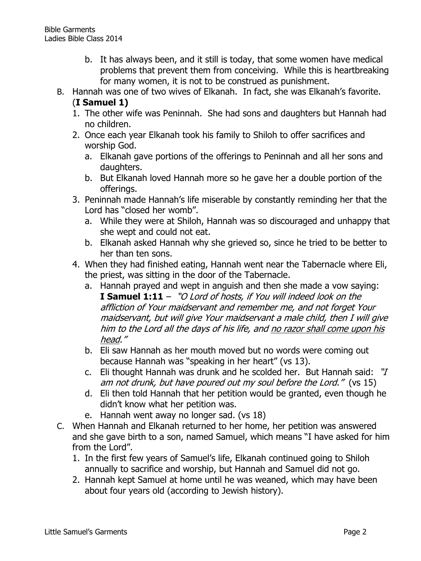- b. It has always been, and it still is today, that some women have medical problems that prevent them from conceiving. While this is heartbreaking for many women, it is not to be construed as punishment.
- B. Hannah was one of two wives of Elkanah. In fact, she was Elkanah's favorite.

## (**I Samuel 1)**

- 1. The other wife was Peninnah. She had sons and daughters but Hannah had no children.
- 2. Once each year Elkanah took his family to Shiloh to offer sacrifices and worship God.
	- a. Elkanah gave portions of the offerings to Peninnah and all her sons and daughters.
	- b. But Elkanah loved Hannah more so he gave her a double portion of the offerings.
- 3. Peninnah made Hannah's life miserable by constantly reminding her that the Lord has "closed her womb".
	- a. While they were at Shiloh, Hannah was so discouraged and unhappy that she wept and could not eat.
	- b. Elkanah asked Hannah why she grieved so, since he tried to be better to her than ten sons.
- 4. When they had finished eating, Hannah went near the Tabernacle where Eli, the priest, was sitting in the door of the Tabernacle.
	- a. Hannah prayed and wept in anguish and then she made a vow saying: **I Samuel 1:11** – "O Lord of hosts, if You will indeed look on the affliction of Your maidservant and remember me, and not forget Your maidservant, but will give Your maidservant a male child, then I will give him to the Lord all the days of his life, and no razor shall come upon his head."
	- b. Eli saw Hannah as her mouth moved but no words were coming out because Hannah was "speaking in her heart" (vs 13).
	- c. Eli thought Hannah was drunk and he scolded her. But Hannah said: "I am not drunk, but have poured out my soul before the Lord." (vs 15)
	- d. Eli then told Hannah that her petition would be granted, even though he didn't know what her petition was.
	- e. Hannah went away no longer sad. (vs 18)
- C. When Hannah and Elkanah returned to her home, her petition was answered and she gave birth to a son, named Samuel, which means "I have asked for him from the Lord".
	- 1. In the first few years of Samuel's life, Elkanah continued going to Shiloh annually to sacrifice and worship, but Hannah and Samuel did not go.
	- 2. Hannah kept Samuel at home until he was weaned, which may have been about four years old (according to Jewish history).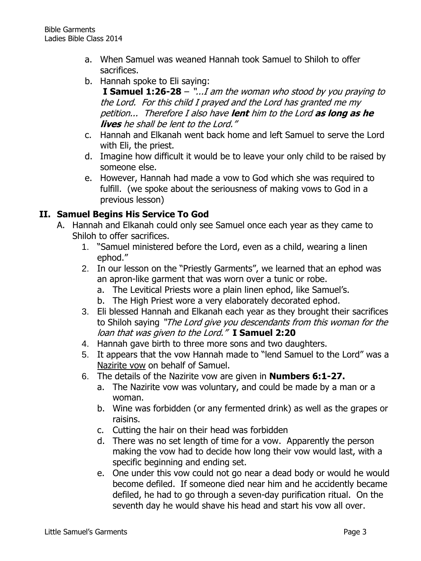- a. When Samuel was weaned Hannah took Samuel to Shiloh to offer sacrifices.
- b. Hannah spoke to Eli saying:

**I Samuel 1:26-28** – "...I am the woman who stood by you praying to the Lord. For this child I prayed and the Lord has granted me my petition... Therefore I also have **lent** him to the Lord **as long as he lives** he shall be lent to the Lord."

- c. Hannah and Elkanah went back home and left Samuel to serve the Lord with Eli, the priest.
- d. Imagine how difficult it would be to leave your only child to be raised by someone else.
- e. However, Hannah had made a vow to God which she was required to fulfill. (we spoke about the seriousness of making vows to God in a previous lesson)

### **II. Samuel Begins His Service To God**

- A. Hannah and Elkanah could only see Samuel once each year as they came to Shiloh to offer sacrifices.
	- 1. "Samuel ministered before the Lord, even as a child, wearing a linen ephod."
	- 2. In our lesson on the "Priestly Garments", we learned that an ephod was an apron-like garment that was worn over a tunic or robe.
		- a. The Levitical Priests wore a plain linen ephod, like Samuel's.
		- b. The High Priest wore a very elaborately decorated ephod.
	- 3. Eli blessed Hannah and Elkanah each year as they brought their sacrifices to Shiloh saying "The Lord give you descendants from this woman for the loan that was given to the Lord." **I Samuel 2:20**
	- 4. Hannah gave birth to three more sons and two daughters.
	- 5. It appears that the vow Hannah made to "lend Samuel to the Lord" was a Nazirite vow on behalf of Samuel.
	- 6. The details of the Nazirite vow are given in **Numbers 6:1-27.**
		- a. The Nazirite vow was voluntary, and could be made by a man or a woman.
		- b. Wine was forbidden (or any fermented drink) as well as the grapes or raisins.
		- c. Cutting the hair on their head was forbidden
		- d. There was no set length of time for a vow. Apparently the person making the vow had to decide how long their vow would last, with a specific beginning and ending set.
		- e. One under this vow could not go near a dead body or would he would become defiled.If someone died near him and he accidently became defiled, he had to go through a seven-day purification ritual. On the seventh day he would shave his head and start his vow all over.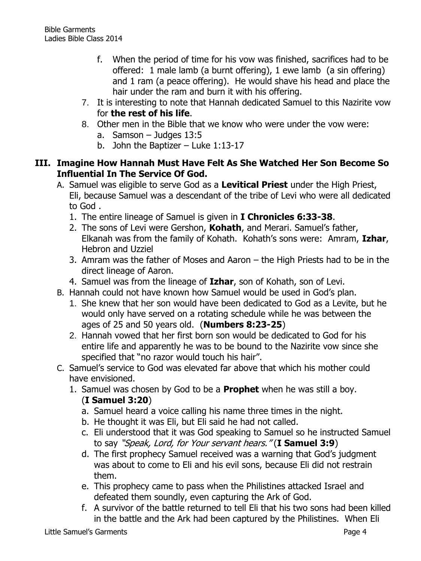- f. When the period of time for his vow was finished, sacrifices had to be offered: 1 male lamb (a burnt offering), 1 ewe lamb (a sin offering) and 1 ram (a peace offering). He would shave his head and place the hair under the ram and burn it with his offering.
- 7. It is interesting to note that Hannah dedicated Samuel to this Nazirite vow for **the rest of his life**.
- 8. Other men in the Bible that we know who were under the vow were:
	- a. Samson Judges 13:5
	- b. John the Baptizer Luke 1:13-17

#### **III. Imagine How Hannah Must Have Felt As She Watched Her Son Become So Influential In The Service Of God.**

- A. Samuel was eligible to serve God as a **Levitical Priest** under the High Priest, Eli, because Samuel was a descendant of the tribe of Levi who were all dedicated to God .
	- 1. The entire lineage of Samuel is given in **I Chronicles 6:33-38**.
	- 2. The sons of Levi were Gershon, **Kohath**, and Merari. Samuel's father, Elkanah was from the family of Kohath. Kohath's sons were: Amram, **Izhar**, Hebron and Uzziel
	- 3. Amram was the father of Moses and Aaron the High Priests had to be in the direct lineage of Aaron.
	- 4. Samuel was from the lineage of **Izhar**, son of Kohath, son of Levi.
- B. Hannah could not have known how Samuel would be used in God's plan.
	- 1. She knew that her son would have been dedicated to God as a Levite, but he would only have served on a rotating schedule while he was between the ages of 25 and 50 years old. (**Numbers 8:23-25**)
	- 2. Hannah vowed that her first born son would be dedicated to God for his entire life and apparently he was to be bound to the Nazirite vow since she specified that "no razor would touch his hair".
- C. Samuel's service to God was elevated far above that which his mother could have envisioned.
	- 1. Samuel was chosen by God to be a **Prophet** when he was still a boy. (**I Samuel 3:20**)
		- a. Samuel heard a voice calling his name three times in the night.
		- b. He thought it was Eli, but Eli said he had not called.
		- c. Eli understood that it was God speaking to Samuel so he instructed Samuel to say "Speak, Lord, for Your servant hears." (**I Samuel 3:9**)
		- d. The first prophecy Samuel received was a warning that God's judgment was about to come to Eli and his evil sons, because Eli did not restrain them.
		- e. This prophecy came to pass when the Philistines attacked Israel and defeated them soundly, even capturing the Ark of God.
		- f. A survivor of the battle returned to tell Eli that his two sons had been killed in the battle and the Ark had been captured by the Philistines. When Eli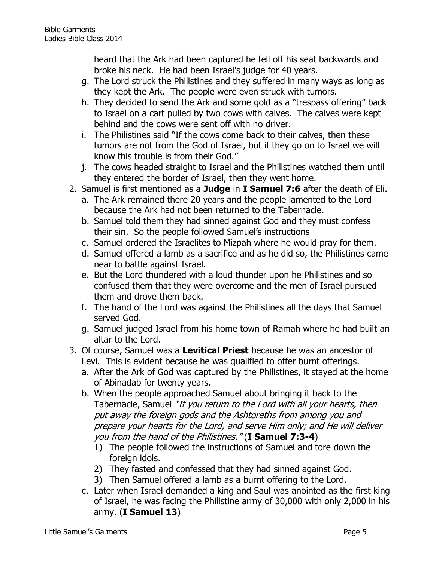heard that the Ark had been captured he fell off his seat backwards and broke his neck. He had been Israel's judge for 40 years.

- g. The Lord struck the Philistines and they suffered in many ways as long as they kept the Ark. The people were even struck with tumors.
- h. They decided to send the Ark and some gold as a "trespass offering" back to Israel on a cart pulled by two cows with calves. The calves were kept behind and the cows were sent off with no driver.
- i. The Philistines said "If the cows come back to their calves, then these tumors are not from the God of Israel, but if they go on to Israel we will know this trouble is from their God."
- j. The cows headed straight to Israel and the Philistines watched them until they entered the border of Israel, then they went home.
- 2. Samuel is first mentioned as a **Judge** in **I Samuel 7:6** after the death of Eli.
	- a. The Ark remained there 20 years and the people lamented to the Lord because the Ark had not been returned to the Tabernacle.
	- b. Samuel told them they had sinned against God and they must confess their sin. So the people followed Samuel's instructions
	- c. Samuel ordered the Israelites to Mizpah where he would pray for them.
	- d. Samuel offered a lamb as a sacrifice and as he did so, the Philistines came near to battle against Israel.
	- e. But the Lord thundered with a loud thunder upon he Philistines and so confused them that they were overcome and the men of Israel pursued them and drove them back.
	- f. The hand of the Lord was against the Philistines all the days that Samuel served God.
	- g. Samuel judged Israel from his home town of Ramah where he had built an altar to the Lord.
- 3. Of course, Samuel was a **Levitical Priest** because he was an ancestor of Levi. This is evident because he was qualified to offer burnt offerings.
	- a. After the Ark of God was captured by the Philistines, it stayed at the home of Abinadab for twenty years.
	- b. When the people approached Samuel about bringing it back to the Tabernacle, Samuel "If you return to the Lord with all your hearts, then put away the foreign gods and the Ashtoreths from among you and prepare your hearts for the Lord, and serve Him only; and He will deliver you from the hand of the Philistines." (**I Samuel 7:3-4**)
		- 1) The people followed the instructions of Samuel and tore down the foreign idols.
		- 2) They fasted and confessed that they had sinned against God.
		- 3) Then Samuel offered a lamb as a burnt offering to the Lord.
	- c. Later when Israel demanded a king and Saul was anointed as the first king of Israel, he was facing the Philistine army of 30,000 with only 2,000 in his army. (**I Samuel 13**)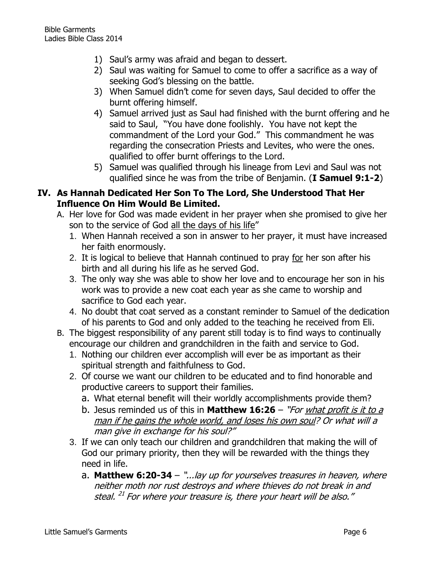- 1) Saul's army was afraid and began to dessert.
- 2) Saul was waiting for Samuel to come to offer a sacrifice as a way of seeking God's blessing on the battle.
- 3) When Samuel didn't come for seven days, Saul decided to offer the burnt offering himself.
- 4) Samuel arrived just as Saul had finished with the burnt offering and he said to Saul, "You have done foolishly. You have not kept the commandment of the Lord your God." This commandment he was regarding the consecration Priests and Levites, who were the ones. qualified to offer burnt offerings to the Lord.
- 5) Samuel was qualified through his lineage from Levi and Saul was not qualified since he was from the tribe of Benjamin. (**I Samuel 9:1-2**)

#### **IV. As Hannah Dedicated Her Son To The Lord, She Understood That Her Influence On Him Would Be Limited.**

- A. Her love for God was made evident in her prayer when she promised to give her son to the service of God all the days of his life"
	- 1. When Hannah received a son in answer to her prayer, it must have increased her faith enormously.
	- 2. It is logical to believe that Hannah continued to pray for her son after his birth and all during his life as he served God.
	- 3. The only way she was able to show her love and to encourage her son in his work was to provide a new coat each year as she came to worship and sacrifice to God each year.
	- 4. No doubt that coat served as a constant reminder to Samuel of the dedication of his parents to God and only added to the teaching he received from Eli.
- B. The biggest responsibility of any parent still today is to find ways to continually encourage our children and grandchildren in the faith and service to God.
	- 1. Nothing our children ever accomplish will ever be as important as their spiritual strength and faithfulness to God.
	- 2. Of course we want our children to be educated and to find honorable and productive careers to support their families.
		- a. What eternal benefit will their worldly accomplishments provide them?
		- b. Jesus reminded us of this in **Matthew 16:26** "For what profit is it to a man if he gains the whole world, and loses his own soul? Or what will a man give in exchange for his soul?"
	- 3. If we can only teach our children and grandchildren that making the will of God our primary priority, then they will be rewarded with the things they need in life.
		- a. **Matthew 6:20-34** "...lay up for yourselves treasures in heaven, where neither moth nor rust destroys and where thieves do not break in and steal. <sup>21</sup> For where your treasure is, there your heart will be also."